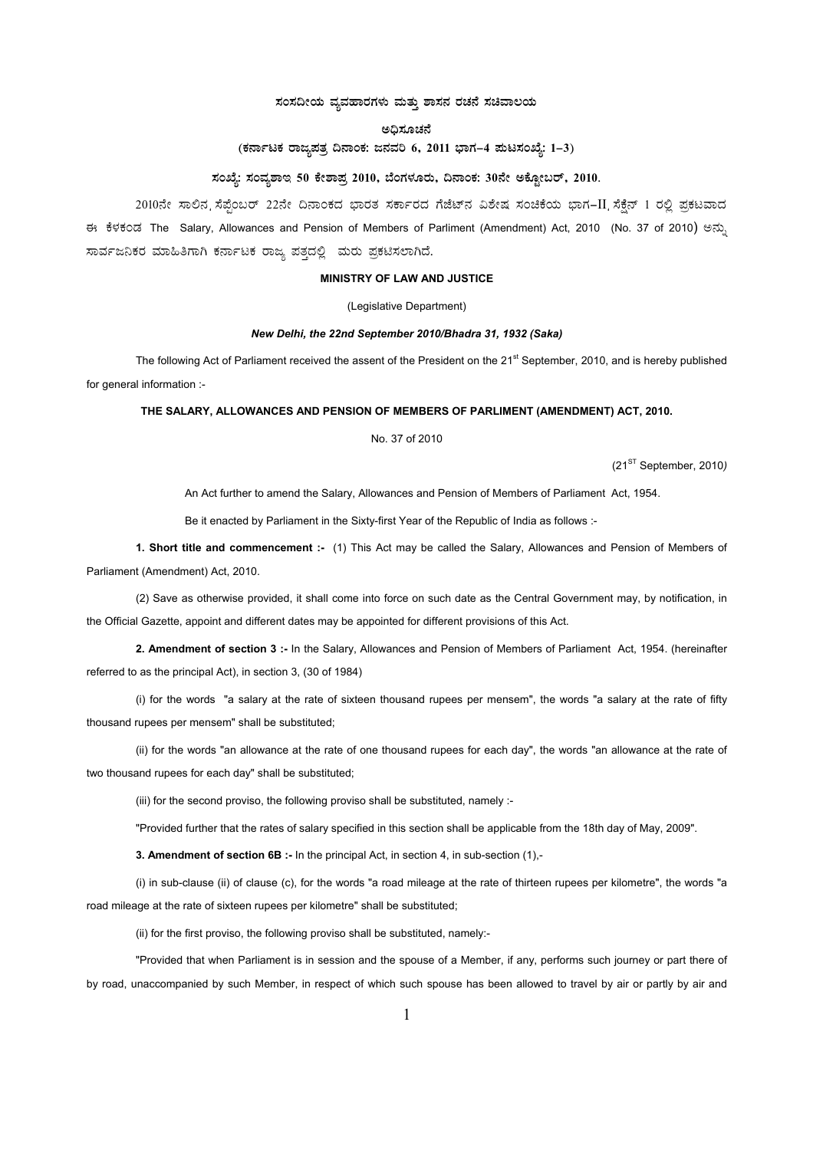# ಸಂಸದೀಯ ವ್ಯವಹಾರಗಳು ಮತ್ತು ಶಾಸನ ರಚನೆ ಸಚಿವಾಲಯ

### ಅಧಿಸೂಚನೆ

# (ಕರ್ನಾಟಕ ರಾಜ್ಯಪತ್ರ ದಿನಾಂಕ: ಜನವರಿ 6, 2011 ಭಾಗ–4 ಮಟಸಂಖ್ಯೆ: 1–3)

# ಸಂಖ್ಯೆ: ಸಂವೃಶಾಇ 50 ಕೇಶಾಪ್ತ 2010, ಬೆಂಗಳೂರು, ದಿನಾಂಕ: 30ನೇ ಅಕ್ಟೋಬರ್, 2010.

2010ನೇ ಸಾಲಿನ ಸೆಪ್ಪೆಂಬರ್ 22ನೇ ದಿನಾಂಕದ ಭಾರತ ಸರ್ಕಾರದ ಗೆಜೆಟ್ನ ವಿಶೇಷ ಸಂಚಿಕೆಯ ಭಾಗ-II ಸೆಕ್ಷೆನ್ 1 ರಲ್ಲಿ ಪ್ರಕಟವಾದ ಈ ಕೆಳಕಂಡ The Salary, Allowances and Pension of Members of Parliment (Amendment) Act, 2010 (No. 37 of 2010) ಅನ್ಸು ಸಾರ್ವಜನಿಕರ ಮಾಹಿತಿಗಾಗಿ ಕರ್ನಾಟಕ ರಾಜ್ಯ ಪತ್ತದಲ್ಲಿ ಮರು ಪ್ರಕಟಿಸಲಾಗಿದೆ.

# **MINISTRY OF LAW AND JUSTICE**

(Legislative Department)

#### New Delhi, the 22nd September 2010/Bhadra 31, 1932 (Saka)

The following Act of Parliament received the assent of the President on the  $21^{st}$  September, 2010, and is hereby published for general information :-

# THE SALARY, ALLOWANCES AND PENSION OF MEMBERS OF PARLIMENT (AMENDMENT) ACT, 2010.

### No. 37 of 2010

 $(21<sup>ST</sup> September, 2010)$ 

An Act further to amend the Salary, Allowances and Pension of Members of Parliament Act, 1954.

Be it enacted by Parliament in the Sixty-first Year of the Republic of India as follows :-

1. Short title and commencement :- (1) This Act may be called the Salary, Allowances and Pension of Members of Parliament (Amendment) Act, 2010.

(2) Save as otherwise provided, it shall come into force on such date as the Central Government may, by notification, in the Official Gazette, appoint and different dates may be appointed for different provisions of this Act.

2. Amendment of section 3 :- In the Salary, Allowances and Pension of Members of Parliament Act, 1954. (hereinafter referred to as the principal Act), in section 3, (30 of 1984)

(i) for the words "a salary at the rate of sixteen thousand rupees per mensem", the words "a salary at the rate of fifty thousand rupees per mensem" shall be substituted;

(ii) for the words "an allowance at the rate of one thousand rupees for each day", the words "an allowance at the rate of two thousand rupees for each day" shall be substituted;

(iii) for the second proviso, the following proviso shall be substituted, namely :-

"Provided further that the rates of salary specified in this section shall be applicable from the 18th day of May, 2009".

3. Amendment of section 6B :- In the principal Act, in section 4, in sub-section (1),-

(i) in sub-clause (ii) of clause (c), for the words "a road mileage at the rate of thirteen rupees per kilometre", the words "a road mileage at the rate of sixteen rupees per kilometre" shall be substituted:

(ii) for the first proviso, the following proviso shall be substituted, namely:-

"Provided that when Parliament is in session and the spouse of a Member, if any, performs such journey or part there of by road, unaccompanied by such Member, in respect of which such spouse has been allowed to travel by air or partly by air and